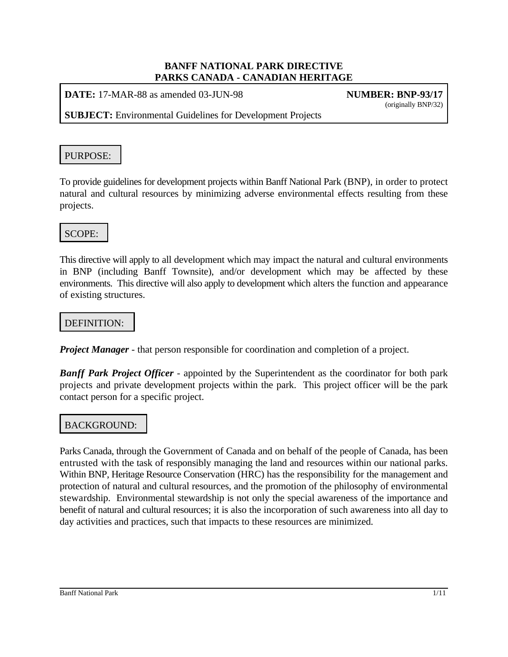**DATE:** 17-MAR-88 as amended 03-JUN-98 **NUMBER: BNP-93/17**

(originally BNP/32)

**SUBJECT:** Environmental Guidelines for Development Projects

# PURPOSE:

To provide guidelines for development projects within Banff National Park (BNP), in order to protect natural and cultural resources by minimizing adverse environmental effects resulting from these projects.

# SCOPE:

This directive will apply to all development which may impact the natural and cultural environments in BNP (including Banff Townsite), and/or development which may be affected by these environments. This directive will also apply to development which alters the function and appearance of existing structures.

# DEFINITION:

*Project Manager* - that person responsible for coordination and completion of a project.

*Banff Park Project Officer* - appointed by the Superintendent as the coordinator for both park projects and private development projects within the park. This project officer will be the park contact person for a specific project.

# BACKGROUND:

Parks Canada, through the Government of Canada and on behalf of the people of Canada, has been entrusted with the task of responsibly managing the land and resources within our national parks. Within BNP, Heritage Resource Conservation (HRC) has the responsibility for the management and protection of natural and cultural resources, and the promotion of the philosophy of environmental stewardship. Environmental stewardship is not only the special awareness of the importance and benefit of natural and cultural resources; it is also the incorporation of such awareness into all day to day activities and practices, such that impacts to these resources are minimized.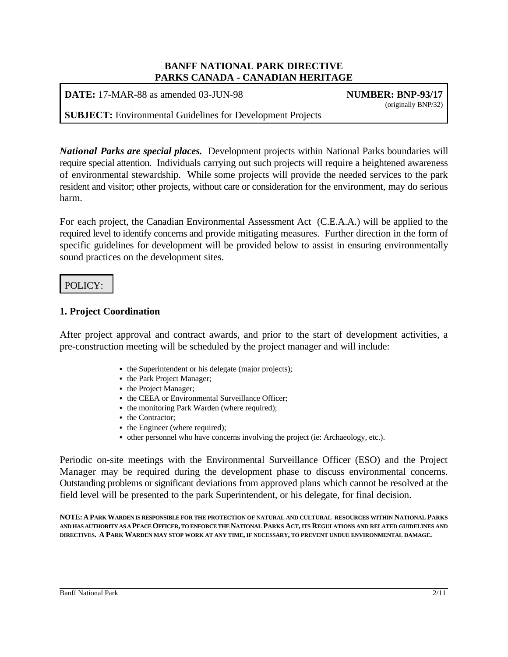**DATE:** 17-MAR-88 as amended 03-JUN-98 **NUMBER: BNP-93/17**

(originally BNP/32)

**SUBJECT:** Environmental Guidelines for Development Projects

*National Parks are special places.* Development projects within National Parks boundaries will require special attention. Individuals carrying out such projects will require a heightened awareness of environmental stewardship. While some projects will provide the needed services to the park resident and visitor; other projects, without care or consideration for the environment, may do serious harm.

For each project, the Canadian Environmental Assessment Act (C.E.A.A.) will be applied to the required level to identify concerns and provide mitigating measures. Further direction in the form of specific guidelines for development will be provided below to assist in ensuring environmentally sound practices on the development sites.

## POLICY:

### **1. Project Coordination**

After project approval and contract awards, and prior to the start of development activities, a pre-construction meeting will be scheduled by the project manager and will include:

- the Superintendent or his delegate (major projects);
- the Park Project Manager;
- the Project Manager;
- the CEEA or Environmental Surveillance Officer;
- the monitoring Park Warden (where required);
- the Contractor:
- the Engineer (where required);
- other personnel who have concerns involving the project (ie: Archaeology, etc.).

Periodic on-site meetings with the Environmental Surveillance Officer (ESO) and the Project Manager may be required during the development phase to discuss environmental concerns. Outstanding problems or significant deviations from approved plans which cannot be resolved at the field level will be presented to the park Superintendent, or his delegate, for final decision.

**NOTE:APARK WARDEN IS RESPONSIBLE FOR THE PROTECTION OF NATURAL AND CULTURAL RESOURCES WITHIN NATIONAL PARKS** AND HAS AUTHORITY AS A PEACE OFFICER, TO ENFORCE THE NATIONAL PARKS ACT, ITS REGULATIONS AND RELATED GUIDELINES AND **DIRECTIVES. A PARK WARDEN MAY STOP WORK AT ANY TIME, IF NECESSARY, TO PREVENT UNDUE ENVIRONMENTAL DAMAGE.**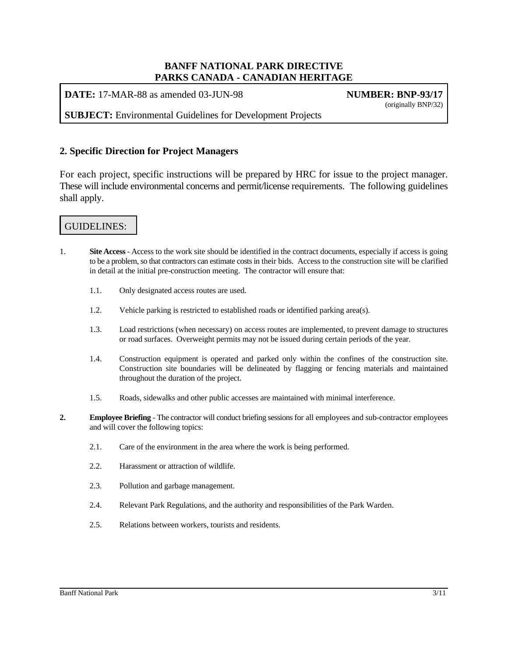**DATE:** 17-MAR-88 as amended 03-JUN-98 **NUMBER: BNP-93/17** 

(originally BNP/32)

**SUBJECT:** Environmental Guidelines for Development Projects

### **2. Specific Direction for Project Managers**

For each project, specific instructions will be prepared by HRC for issue to the project manager. These will include environmental concerns and permit/license requirements. The following guidelines shall apply.

# GUIDELINES:

- 1. **Site Access** Access to the work site should be identified in the contract documents, especially if access is going to be a problem, so that contractors can estimate costs in their bids. Access to the construction site will be clarified in detail at the initial pre-construction meeting. The contractor will ensure that:
	- 1.1. Only designated access routes are used.
	- 1.2. Vehicle parking is restricted to established roads or identified parking area(s).
	- 1.3. Load restrictions (when necessary) on access routes are implemented, to prevent damage to structures or road surfaces. Overweight permits may not be issued during certain periods of the year.
	- 1.4. Construction equipment is operated and parked only within the confines of the construction site. Construction site boundaries will be delineated by flagging or fencing materials and maintained throughout the duration of the project.
	- 1.5. Roads, sidewalks and other public accesses are maintained with minimal interference.
- **2. Employee Briefing** The contractor will conduct briefing sessions for all employees and sub-contractor employees and will cover the following topics:
	- 2.1. Care of the environment in the area where the work is being performed.
	- 2.2. Harassment or attraction of wildlife.
	- 2.3. Pollution and garbage management.
	- 2.4. Relevant Park Regulations, and the authority and responsibilities of the Park Warden.
	- 2.5. Relations between workers, tourists and residents.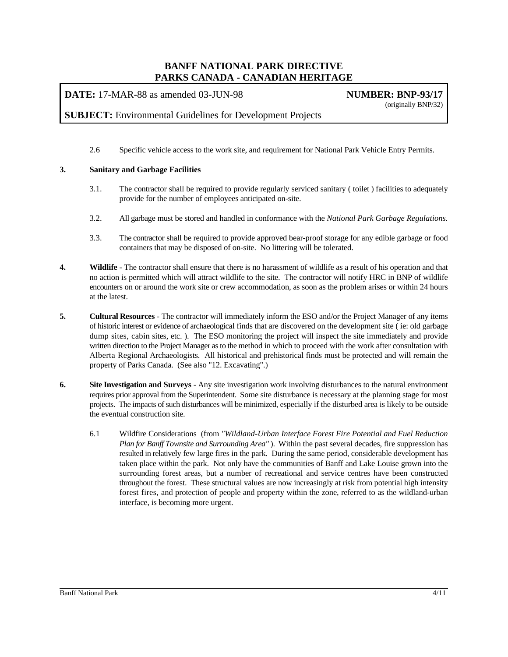**DATE:** 17-MAR-88 as amended 03-JUN-98 **NUMBER: BNP-93/17**

(originally BNP/32)

### **SUBJECT:** Environmental Guidelines for Development Projects

2.6 Specific vehicle access to the work site, and requirement for National Park Vehicle Entry Permits.

### **3. Sanitary and Garbage Facilities**

- 3.1. The contractor shall be required to provide regularly serviced sanitary ( toilet ) facilities to adequately provide for the number of employees anticipated on-site.
- 3.2. All garbage must be stored and handled in conformance with the *National Park Garbage Regulations.*
- 3.3. The contractor shall be required to provide approved bear-proof storage for any edible garbage or food containers that may be disposed of on-site. No littering will be tolerated.
- **4. Wildlife** The contractor shall ensure that there is no harassment of wildlife as a result of his operation and that no action is permitted which will attract wildlife to the site. The contractor will notify HRC in BNP of wildlife encounters on or around the work site or crew accommodation, as soon as the problem arises or within 24 hours at the latest.
- **5. Cultural Resources** The contractor will immediately inform the ESO and/or the Project Manager of any items of historic interest or evidence of archaeological finds that are discovered on the development site ( ie: old garbage dump sites, cabin sites, etc. ). The ESO monitoring the project will inspect the site immediately and provide written direction to the Project Manager as to the method in which to proceed with the work after consultation with Alberta Regional Archaeologists. All historical and prehistorical finds must be protected and will remain the property of Parks Canada. (See also "12. Excavating".)
- **6. Site Investigation and Surveys** Any site investigation work involving disturbances to the natural environment requires prior approval from the Superintendent. Some site disturbance is necessary at the planning stage for most projects. The impacts of such disturbances will be minimized, especially if the disturbed area is likely to be outside the eventual construction site.
	- 6.1 Wildfire Considerations (from *"Wildland-Urban Interface Forest Fire Potential and Fuel Reduction Plan for Banff Townsite and Surrounding Area"* ). Within the past several decades, fire suppression has resulted in relatively few large fires in the park. During the same period, considerable development has taken place within the park. Not only have the communities of Banff and Lake Louise grown into the surrounding forest areas, but a number of recreational and service centres have been constructed throughout the forest. These structural values are now increasingly at risk from potential high intensity forest fires, and protection of people and property within the zone, referred to as the wildland-urban interface, is becoming more urgent.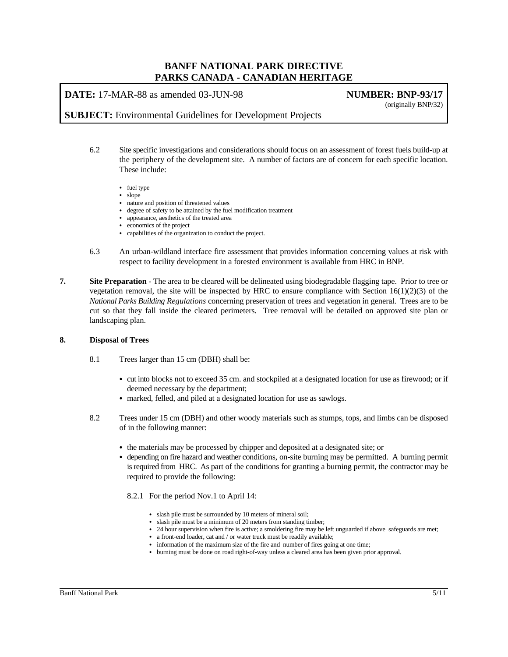**DATE:** 17-MAR-88 as amended 03-JUN-98 **NUMBER: BNP-93/17**

(originally BNP/32)

**SUBJECT:** Environmental Guidelines for Development Projects

- 6.2 Site specific investigations and considerations should focus on an assessment of forest fuels build-up at the periphery of the development site. A number of factors are of concern for each specific location. These include:
	- $\bullet$  fuel type
	- $\bullet$  slope
	- nature and position of threatened values
	- degree of safety to be attained by the fuel modification treatment
	- appearance, aesthetics of the treated area
	- economics of the project
	- capabilities of the organization to conduct the project.
- 6.3 An urban-wildland interface fire assessment that provides information concerning values at risk with respect to facility development in a forested environment is available from HRC in BNP.
- **7. Site Preparation** The area to be cleared will be delineated using biodegradable flagging tape. Prior to tree or vegetation removal, the site will be inspected by HRC to ensure compliance with Section  $16(1)(2)(3)$  of the *National Parks Building Regulations* concerning preservation of trees and vegetation in general. Trees are to be cut so that they fall inside the cleared perimeters. Tree removal will be detailed on approved site plan or landscaping plan.

#### **8. Disposal of Trees**

- 8.1 Trees larger than 15 cm (DBH) shall be:
	- cut into blocks not to exceed 35 cm. and stockpiled at a designated location for use as firewood; or if deemed necessary by the department;
	- marked, felled, and piled at a designated location for use as sawlogs.
- 8.2 Trees under 15 cm (DBH) and other woody materials such as stumps, tops, and limbs can be disposed of in the following manner:
	- the materials may be processed by chipper and deposited at a designated site; or
	- depending on fire hazard and weather conditions, on-site burning may be permitted. A burning permit is required from HRC. As part of the conditions for granting a burning permit, the contractor may be required to provide the following:
		- 8.2.1 For the period Nov.1 to April 14:
			- slash pile must be surrounded by 10 meters of mineral soil;
			- slash pile must be a minimum of 20 meters from standing timber;
			- 24 hour supervision when fire is active; a smoldering fire may be left unguarded if above safeguards are met;
			- a front-end loader, cat and / or water truck must be readily available;
			- information of the maximum size of the fire and number of fires going at one time;
			- burning must be done on road right-of-way unless a cleared area has been given prior approval.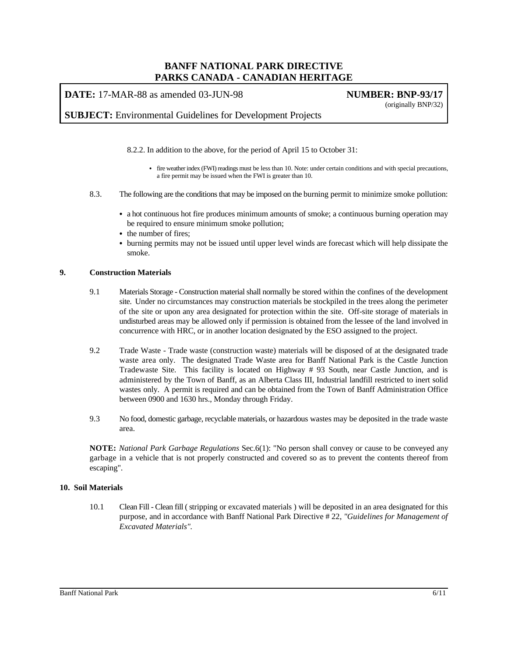**DATE:** 17-MAR-88 as amended 03-JUN-98 **NUMBER: BNP-93/17**

(originally BNP/32)

**SUBJECT:** Environmental Guidelines for Development Projects

8.2.2. In addition to the above, for the period of April 15 to October 31:

- C fire weather index (FWI) readings must be less than 10. Note: under certain conditions and with special precautions, a fire permit may be issued when the FWI is greater than 10.
- 8.3. The following are the conditions that may be imposed on the burning permit to minimize smoke pollution:
	- a hot continuous hot fire produces minimum amounts of smoke; a continuous burning operation may be required to ensure minimum smoke pollution;
	- the number of fires;
	- burning permits may not be issued until upper level winds are forecast which will help dissipate the smoke.

#### **9. Construction Materials**

- 9.1 Materials Storage Construction material shall normally be stored within the confines of the development site. Under no circumstances may construction materials be stockpiled in the trees along the perimeter of the site or upon any area designated for protection within the site. Off-site storage of materials in undisturbed areas may be allowed only if permission is obtained from the lessee of the land involved in concurrence with HRC, or in another location designated by the ESO assigned to the project.
- 9.2 Trade Waste Trade waste (construction waste) materials will be disposed of at the designated trade waste area only. The designated Trade Waste area for Banff National Park is the Castle Junction Tradewaste Site. This facility is located on Highway # 93 South, near Castle Junction, and is administered by the Town of Banff, as an Alberta Class III, Industrial landfill restricted to inert solid wastes only. A permit is required and can be obtained from the Town of Banff Administration Office between 0900 and 1630 hrs., Monday through Friday.
- 9.3 No food, domestic garbage, recyclable materials, or hazardous wastes may be deposited in the trade waste area.

**NOTE:** *National Park Garbage Regulations* Sec.6(1): "No person shall convey or cause to be conveyed any garbage in a vehicle that is not properly constructed and covered so as to prevent the contents thereof from escaping".

#### **10. Soil Materials**

10.1 Clean Fill - Clean fill ( stripping or excavated materials ) will be deposited in an area designated for this purpose, and in accordance with Banff National Park Directive # 22, *"Guidelines for Management of Excavated Materials".*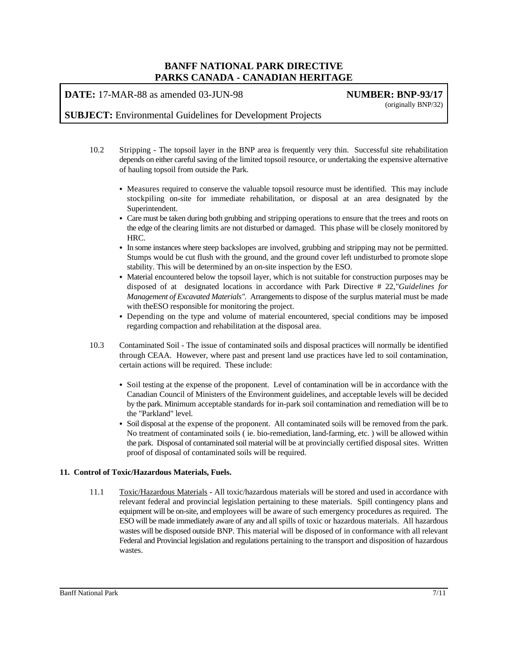**DATE:** 17-MAR-88 as amended 03-JUN-98 **NUMBER: BNP-93/17**

(originally BNP/32)

### **SUBJECT:** Environmental Guidelines for Development Projects

- 10.2 Stripping The topsoil layer in the BNP area is frequently very thin. Successful site rehabilitation depends on either careful saving of the limited topsoil resource, or undertaking the expensive alternative of hauling topsoil from outside the Park.
	- Measures required to conserve the valuable topsoil resource must be identified. This may include stockpiling on-site for immediate rehabilitation, or disposal at an area designated by the Superintendent.
	- Care must be taken during both grubbing and stripping operations to ensure that the trees and roots on the edge of the clearing limits are not disturbed or damaged. This phase will be closely monitored by HRC.
	- In some instances where steep backslopes are involved, grubbing and stripping may not be permitted. Stumps would be cut flush with the ground, and the ground cover left undisturbed to promote slope stability. This will be determined by an on-site inspection by the ESO.
	- Material encountered below the topsoil layer, which is not suitable for construction purposes may be disposed of at designated locations in accordance with Park Directive # 22,*"Guidelines for Management of Excavated Materials".* Arrangements to dispose of the surplus material must be made with theESO responsible for monitoring the project.
	- Depending on the type and volume of material encountered, special conditions may be imposed regarding compaction and rehabilitation at the disposal area.
- 10.3 Contaminated Soil The issue of contaminated soils and disposal practices will normally be identified through CEAA. However, where past and present land use practices have led to soil contamination, certain actions will be required. These include:
	- Soil testing at the expense of the proponent. Level of contamination will be in accordance with the Canadian Council of Ministers of the Environment guidelines, and acceptable levels will be decided by the park. Minimum acceptable standards for in-park soil contamination and remediation will be to the "Parkland" level.
	- Soil disposal at the expense of the proponent. All contaminated soils will be removed from the park. No treatment of contaminated soils ( ie. bio-remediation, land-farming, etc. ) will be allowed within the park. Disposal of contaminated soil material will be at provincially certified disposal sites. Written proof of disposal of contaminated soils will be required.

#### **11. Control of Toxic/Hazardous Materials, Fuels.**

11.1 Toxic/Hazardous Materials - All toxic/hazardous materials will be stored and used in accordance with relevant federal and provincial legislation pertaining to these materials. Spill contingency plans and equipment will be on-site, and employees will be aware of such emergency procedures as required. The ESO will be made immediately aware of any and all spills of toxic or hazardous materials. All hazardous wastes will be disposed outside BNP. This material will be disposed of in conformance with all relevant Federal and Provincial legislation and regulations pertaining to the transport and disposition of hazardous wastes.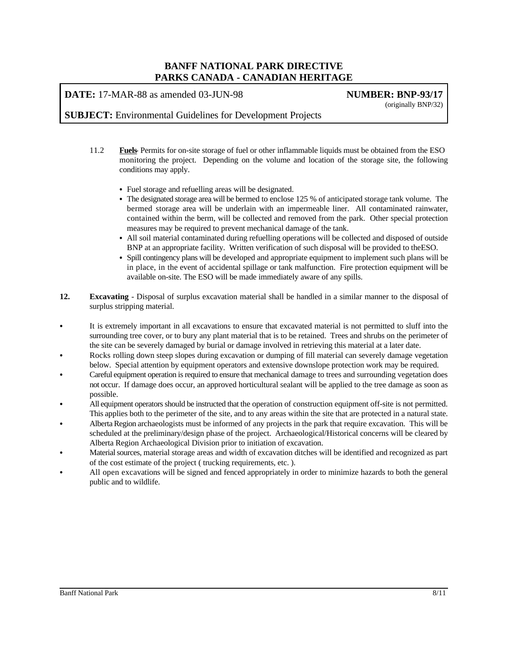**DATE:** 17-MAR-88 as amended 03-JUN-98 **NUMBER: BNP-93/17**

(originally BNP/32)

**SUBJECT:** Environmental Guidelines for Development Projects

- 11.2 **Fuels** Permits for on-site storage of fuel or other inflammable liquids must be obtained from the ESO monitoring the project. Depending on the volume and location of the storage site, the following conditions may apply.
	- Fuel storage and refuelling areas will be designated.
	- The designated storage area will be bermed to enclose 125 % of anticipated storage tank volume. The bermed storage area will be underlain with an impermeable liner. All contaminated rainwater, contained within the berm, will be collected and removed from the park. Other special protection measures may be required to prevent mechanical damage of the tank.
	- All soil material contaminated during refuelling operations will be collected and disposed of outside BNP at an appropriate facility. Written verification of such disposal will be provided to theESO.
	- Spill contingency plans will be developed and appropriate equipment to implement such plans will be in place, in the event of accidental spillage or tank malfunction. Fire protection equipment will be available on-site. The ESO will be made immediately aware of any spills.
- **12. Excavating** Disposal of surplus excavation material shall be handled in a similar manner to the disposal of surplus stripping material.
- It is extremely important in all excavations to ensure that excavated material is not permitted to sluff into the surrounding tree cover, or to bury any plant material that is to be retained. Trees and shrubs on the perimeter of the site can be severely damaged by burial or damage involved in retrieving this material at a later date.
- Rocks rolling down steep slopes during excavation or dumping of fill material can severely damage vegetation below. Special attention by equipment operators and extensive downslope protection work may be required.
- Careful equipment operation is required to ensure that mechanical damage to trees and surrounding vegetation does not occur. If damage does occur, an approved horticultural sealant will be applied to the tree damage as soon as possible.
- All equipment operators should be instructed that the operation of construction equipment off-site is not permitted. This applies both to the perimeter of the site, and to any areas within the site that are protected in a natural state.
- C Alberta Region archaeologists must be informed of any projects in the park that require excavation. This will be scheduled at the preliminary/design phase of the project. Archaeological/Historical concerns will be cleared by Alberta Region Archaeological Division prior to initiation of excavation.
- Material sources, material storage areas and width of excavation ditches will be identified and recognized as part of the cost estimate of the project ( trucking requirements, etc. ).
- All open excavations will be signed and fenced appropriately in order to minimize hazards to both the general public and to wildlife.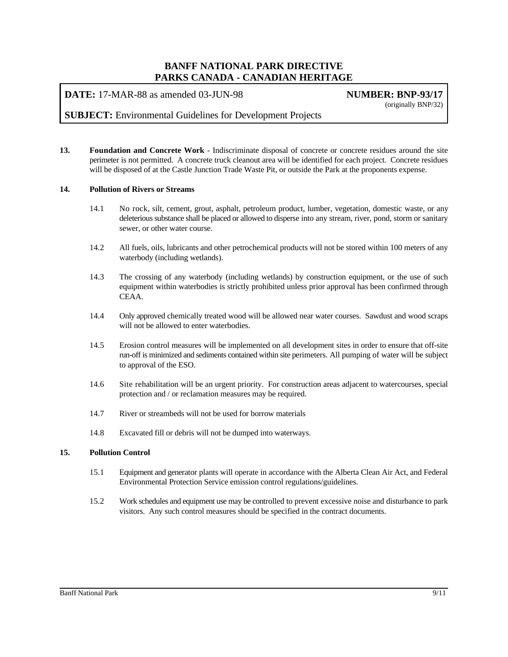**DATE:** 17-MAR-88 as amended 03-JUN-98 **NUMBER: BNP-93/17**

(originally BNP/32)

### **SUBJECT:** Environmental Guidelines for Development Projects

**13. Foundation and Concrete Work** - Indiscriminate disposal of concrete or concrete residues around the site perimeter is not permitted. A concrete truck cleanout area will be identified for each project. Concrete residues will be disposed of at the Castle Junction Trade Waste Pit, or outside the Park at the proponents expense.

#### **14. Pollution of Rivers or Streams**

- 14.1 No rock, silt, cement, grout, asphalt, petroleum product, lumber, vegetation, domestic waste, or any deleterious substance shall be placed or allowed to disperse into any stream, river, pond, storm or sanitary sewer, or other water course.
- 14.2 All fuels, oils, lubricants and other petrochemical products will not be stored within 100 meters of any waterbody (including wetlands).
- 14.3 The crossing of any waterbody (including wetlands) by construction equipment, or the use of such equipment within waterbodies is strictly prohibited unless prior approval has been confirmed through CEAA.
- 14.4 Only approved chemically treated wood will be allowed near water courses. Sawdust and wood scraps will not be allowed to enter waterbodies.
- 14.5 Erosion control measures will be implemented on all development sites in order to ensure that off-site run-off is minimized and sediments contained within site perimeters. All pumping of water will be subject to approval of the ESO.
- 14.6 Site rehabilitation will be an urgent priority. For construction areas adjacent to watercourses, special protection and / or reclamation measures may be required.
- 14.7 River or streambeds will not be used for borrow materials
- 14.8 Excavated fill or debris will not be dumped into waterways.

#### **15. Pollution Control**

- 15.1 Equipment and generator plants will operate in accordance with the Alberta Clean Air Act, and Federal Environmental Protection Service emission control regulations/guidelines.
- 15.2 Work schedules and equipment use may be controlled to prevent excessive noise and disturbance to park visitors. Any such control measures should be specified in the contract documents.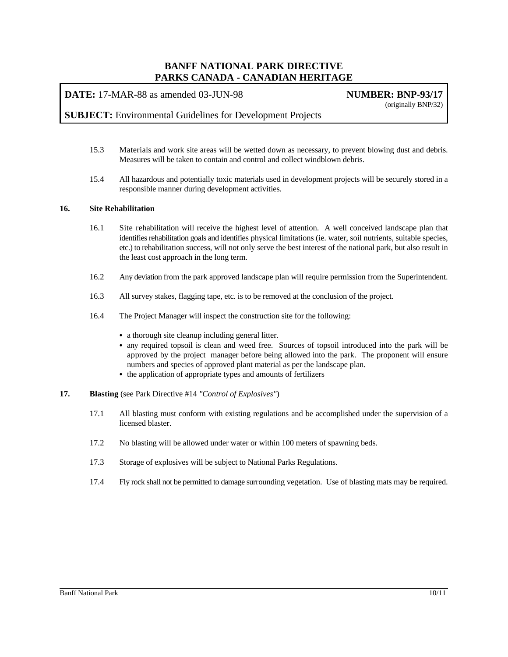**DATE:** 17-MAR-88 as amended 03-JUN-98 **NUMBER: BNP-93/17**

(originally BNP/32)

### **SUBJECT:** Environmental Guidelines for Development Projects

- 15.3 Materials and work site areas will be wetted down as necessary, to prevent blowing dust and debris. Measures will be taken to contain and control and collect windblown debris.
- 15.4 All hazardous and potentially toxic materials used in development projects will be securely stored in a responsible manner during development activities.

### **16. Site Rehabilitation**

- 16.1 Site rehabilitation will receive the highest level of attention. A well conceived landscape plan that identifies rehabilitation goals and identifies physical limitations (ie. water, soil nutrients, suitable species, etc.) to rehabilitation success, will not only serve the best interest of the national park, but also result in the least cost approach in the long term.
- 16.2 Any deviation from the park approved landscape plan will require permission from the Superintendent.
- 16.3 All survey stakes, flagging tape, etc. is to be removed at the conclusion of the project.
- 16.4 The Project Manager will inspect the construction site for the following:
	- a thorough site cleanup including general litter.
	- any required topsoil is clean and weed free. Sources of topsoil introduced into the park will be approved by the project manager before being allowed into the park. The proponent will ensure numbers and species of approved plant material as per the landscape plan.
	- $\bullet$  the application of appropriate types and amounts of fertilizers
- **17. Blasting** (see Park Directive #14 *"Control of Explosives"*)
	- 17.1 All blasting must conform with existing regulations and be accomplished under the supervision of a licensed blaster.
	- 17.2 No blasting will be allowed under water or within 100 meters of spawning beds.
	- 17.3 Storage of explosives will be subject to National Parks Regulations.
	- 17.4 Fly rock shall not be permitted to damage surrounding vegetation. Use of blasting mats may be required.